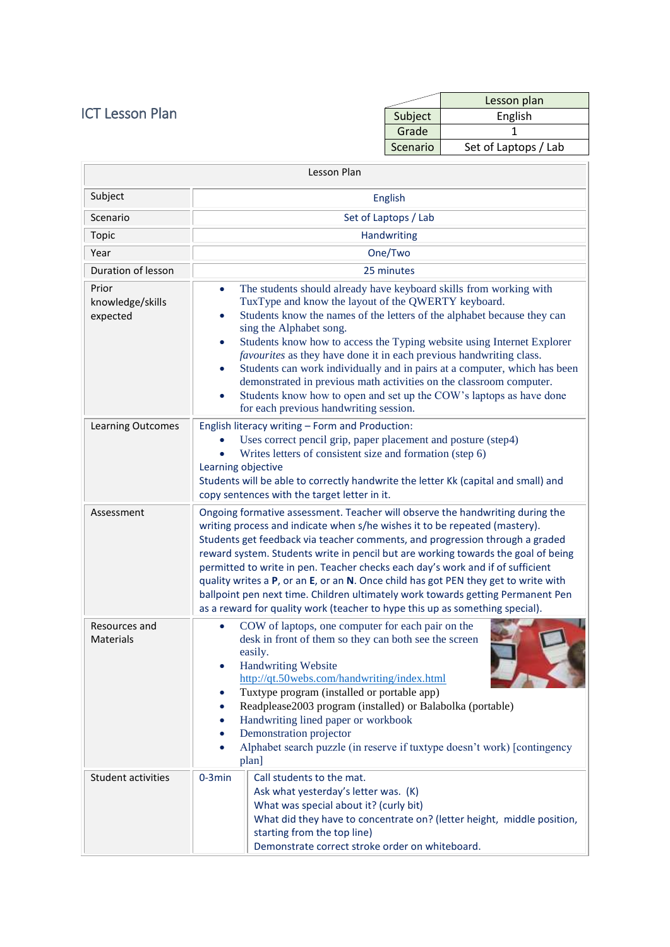## ICT Lesson Plan

|          | Lesson plan          |
|----------|----------------------|
| Subject  | English              |
| Grade    |                      |
| Scenario | Set of Laptops / Lab |

| Lesson Plan                           |                                                                                                                                                                                                                                                                                                                                                                                                                                                                                                                                                                                                                                                                                                                        |  |  |
|---------------------------------------|------------------------------------------------------------------------------------------------------------------------------------------------------------------------------------------------------------------------------------------------------------------------------------------------------------------------------------------------------------------------------------------------------------------------------------------------------------------------------------------------------------------------------------------------------------------------------------------------------------------------------------------------------------------------------------------------------------------------|--|--|
| Subject                               | English                                                                                                                                                                                                                                                                                                                                                                                                                                                                                                                                                                                                                                                                                                                |  |  |
| Scenario                              | Set of Laptops / Lab                                                                                                                                                                                                                                                                                                                                                                                                                                                                                                                                                                                                                                                                                                   |  |  |
| Topic                                 | Handwriting                                                                                                                                                                                                                                                                                                                                                                                                                                                                                                                                                                                                                                                                                                            |  |  |
| Year                                  | One/Two                                                                                                                                                                                                                                                                                                                                                                                                                                                                                                                                                                                                                                                                                                                |  |  |
| Duration of lesson                    | 25 minutes                                                                                                                                                                                                                                                                                                                                                                                                                                                                                                                                                                                                                                                                                                             |  |  |
| Prior<br>knowledge/skills<br>expected | The students should already have keyboard skills from working with<br>$\bullet$<br>TuxType and know the layout of the QWERTY keyboard.<br>Students know the names of the letters of the alphabet because they can<br>$\bullet$<br>sing the Alphabet song.<br>Students know how to access the Typing website using Internet Explorer<br>$\bullet$<br>favourites as they have done it in each previous handwriting class.<br>Students can work individually and in pairs at a computer, which has been<br>$\bullet$<br>demonstrated in previous math activities on the classroom computer.<br>Students know how to open and set up the COW's laptops as have done<br>$\bullet$<br>for each previous handwriting session. |  |  |
| Learning Outcomes                     | English literacy writing - Form and Production:<br>Uses correct pencil grip, paper placement and posture (step4)<br>Writes letters of consistent size and formation (step 6)<br>Learning objective<br>Students will be able to correctly handwrite the letter Kk (capital and small) and<br>copy sentences with the target letter in it.                                                                                                                                                                                                                                                                                                                                                                               |  |  |
| Assessment                            | Ongoing formative assessment. Teacher will observe the handwriting during the<br>writing process and indicate when s/he wishes it to be repeated (mastery).<br>Students get feedback via teacher comments, and progression through a graded<br>reward system. Students write in pencil but are working towards the goal of being<br>permitted to write in pen. Teacher checks each day's work and if of sufficient<br>quality writes a P, or an E, or an N. Once child has got PEN they get to write with<br>ballpoint pen next time. Children ultimately work towards getting Permanent Pen<br>as a reward for quality work (teacher to hype this up as something special).                                           |  |  |
| Resources and<br><b>Materials</b>     | COW of laptops, one computer for each pair on the<br>$\bullet$<br>desk in front of them so they can both see the screen<br>easily.<br><b>Handwriting Website</b><br>http://qt.50webs.com/handwriting/index.html<br>Tuxtype program (installed or portable app)<br>Readplease2003 program (installed) or Balabolka (portable)<br>Handwriting lined paper or workbook<br>Demonstration projector<br>Alphabet search puzzle (in reserve if tuxtype doesn't work) [contingency<br>plan]                                                                                                                                                                                                                                    |  |  |
| <b>Student activities</b>             | $0-3min$<br>Call students to the mat.<br>Ask what yesterday's letter was. (K)<br>What was special about it? (curly bit)<br>What did they have to concentrate on? (letter height, middle position,<br>starting from the top line)<br>Demonstrate correct stroke order on whiteboard.                                                                                                                                                                                                                                                                                                                                                                                                                                    |  |  |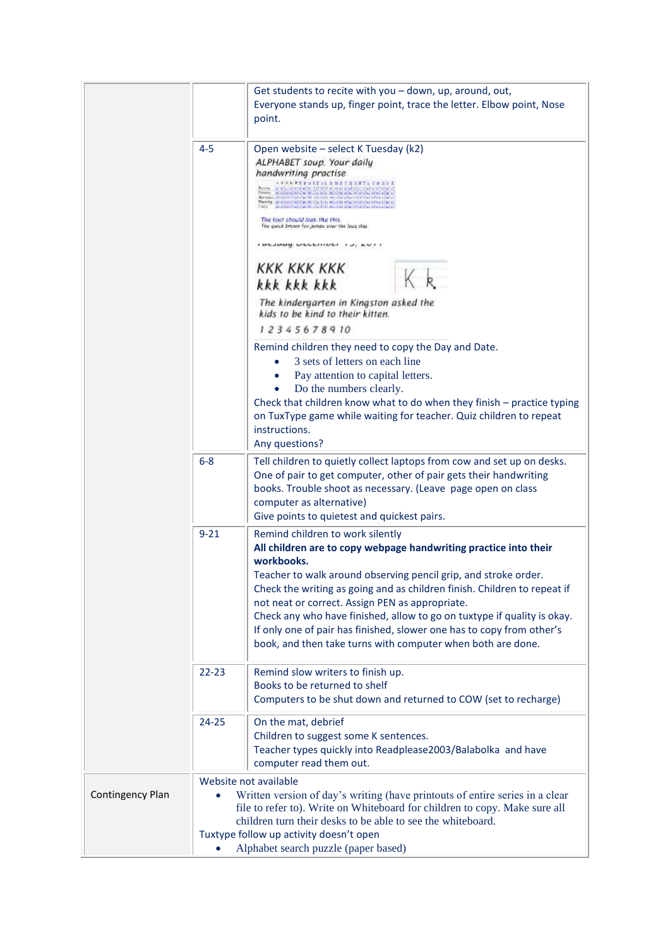|                  |           | Get students to recite with you - down, up, around, out,<br>Everyone stands up, finger point, trace the letter. Elbow point, Nose<br>point.                                                                                                                                                                                                                                                                                                                                                                                                                                                                                                                                                                                                                                                                                                                                                                         |
|------------------|-----------|---------------------------------------------------------------------------------------------------------------------------------------------------------------------------------------------------------------------------------------------------------------------------------------------------------------------------------------------------------------------------------------------------------------------------------------------------------------------------------------------------------------------------------------------------------------------------------------------------------------------------------------------------------------------------------------------------------------------------------------------------------------------------------------------------------------------------------------------------------------------------------------------------------------------|
|                  | $4 - 5$   | Open website - select K Tuesday (k2)<br>ALPHABET soup. Your daily<br>handwriting practise<br>计选择程序 医皮肤皮质 医神经性染色素 医血管炎<br>wing stead at ecold to the constant of the training and<br>indicated and a little and the analysis of the state.<br>Behalam at Infolk Made Pat All Vie USI Householder Print Patienten<br>The fort should look like this.<br>The quick brown fox jumps your the lacy dug.<br>i waawwy uraaniina -i ay au i i<br><b>KKK KKK KKK</b><br>kkk kkk kkk<br>The kindergarten in Kingston asked the<br>kids to be kind to their kitten.<br>12345678910<br>Remind children they need to copy the Day and Date.<br>3 sets of letters on each line<br>Pay attention to capital letters.<br>Do the numbers clearly.<br>Check that children know what to do when they finish - practice typing<br>on TuxType game while waiting for teacher. Quiz children to repeat<br>instructions.<br>Any questions? |
|                  | $6 - 8$   | Tell children to quietly collect laptops from cow and set up on desks.<br>One of pair to get computer, other of pair gets their handwriting<br>books. Trouble shoot as necessary. (Leave page open on class<br>computer as alternative)<br>Give points to quietest and quickest pairs.                                                                                                                                                                                                                                                                                                                                                                                                                                                                                                                                                                                                                              |
|                  | $9 - 21$  | Remind children to work silently<br>All children are to copy webpage handwriting practice into their<br>workbooks.<br>Teacher to walk around observing pencil grip, and stroke order.<br>Check the writing as going and as children finish. Children to repeat if<br>not neat or correct. Assign PEN as appropriate.<br>Check any who have finished, allow to go on tuxtype if quality is okay.<br>If only one of pair has finished, slower one has to copy from other's<br>book, and then take turns with computer when both are done.                                                                                                                                                                                                                                                                                                                                                                             |
|                  | $22 - 23$ | Remind slow writers to finish up.<br>Books to be returned to shelf<br>Computers to be shut down and returned to COW (set to recharge)                                                                                                                                                                                                                                                                                                                                                                                                                                                                                                                                                                                                                                                                                                                                                                               |
|                  | 24-25     | On the mat, debrief<br>Children to suggest some K sentences.<br>Teacher types quickly into Readplease2003/Balabolka and have<br>computer read them out.                                                                                                                                                                                                                                                                                                                                                                                                                                                                                                                                                                                                                                                                                                                                                             |
| Contingency Plan |           | Website not available<br>Written version of day's writing (have printouts of entire series in a clear<br>file to refer to). Write on Whiteboard for children to copy. Make sure all<br>children turn their desks to be able to see the whiteboard.<br>Tuxtype follow up activity doesn't open<br>Alphabet search puzzle (paper based)                                                                                                                                                                                                                                                                                                                                                                                                                                                                                                                                                                               |